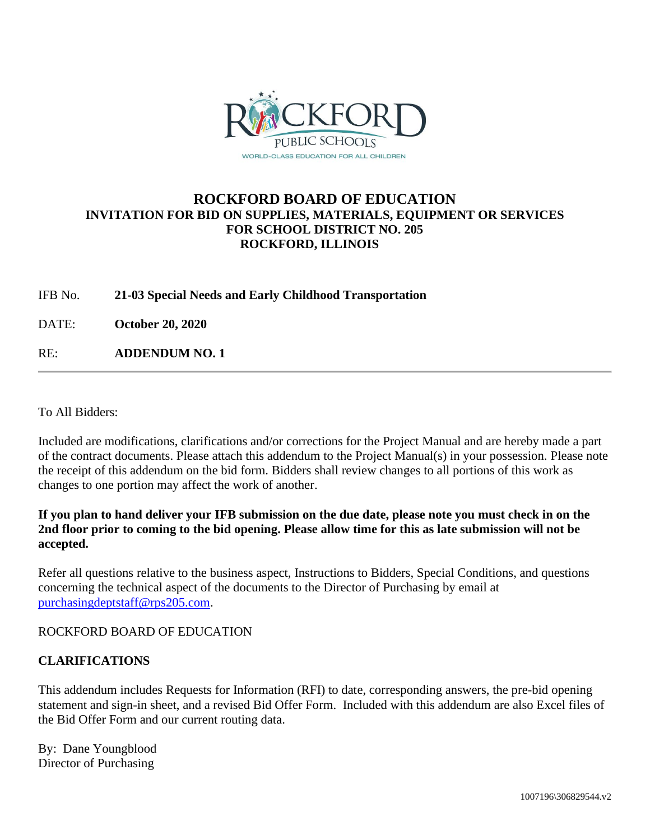

# **ROCKFORD BOARD OF EDUCATION INVITATION FOR BID ON SUPPLIES, MATERIALS, EQUIPMENT OR SERVICES FOR SCHOOL DISTRICT NO. 205 ROCKFORD, ILLINOIS**

#### IFB No. **21-03 Special Needs and Early Childhood Transportation**

DATE: **October 20, 2020**

RE: **ADDENDUM NO. 1**

To All Bidders:

Included are modifications, clarifications and/or corrections for the Project Manual and are hereby made a part of the contract documents. Please attach this addendum to the Project Manual(s) in your possession. Please note the receipt of this addendum on the bid form. Bidders shall review changes to all portions of this work as changes to one portion may affect the work of another.

## **If you plan to hand deliver your IFB submission on the due date, please note you must check in on the 2nd floor prior to coming to the bid opening. Please allow time for this as late submission will not be accepted.**

Refer all questions relative to the business aspect, Instructions to Bidders, Special Conditions, and questions concerning the technical aspect of the documents to the Director of Purchasing by email at [purchasingdeptstaff@rps205.com.](mailto:purchasingdeptstaff@rps205.com)

ROCKFORD BOARD OF EDUCATION

## **CLARIFICATIONS**

This addendum includes Requests for Information (RFI) to date, corresponding answers, the pre-bid opening statement and sign-in sheet, and a revised Bid Offer Form. Included with this addendum are also Excel files of the Bid Offer Form and our current routing data.

By: Dane Youngblood Director of Purchasing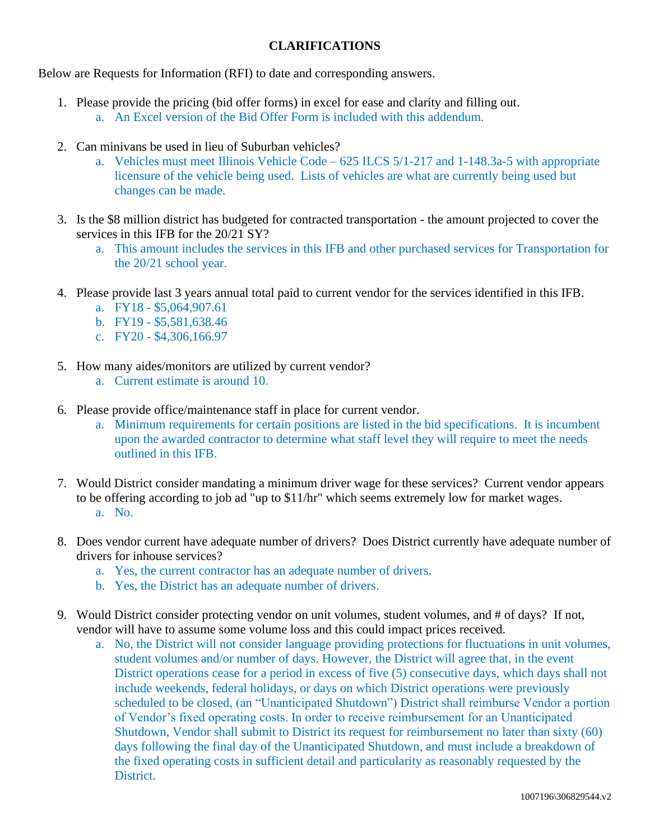## **CLARIFICATIONS**

Below are Requests for Information (RFI) to date and corresponding answers.

- 1. Please provide the pricing (bid offer forms) in excel for ease and clarity and filling out. a. An Excel version of the Bid Offer Form is included with this addendum.
- 2. Can minivans be used in lieu of Suburban vehicles?
	- a. Vehicles must meet Illinois Vehicle Code 625 ILCS 5/1-217 and 1-148.3a-5 with appropriate licensure of the vehicle being used. Lists of vehicles are what are currently being used but changes can be made.
- 3. Is the \$8 million district has budgeted for contracted transportation the amount projected to cover the services in this IFB for the 20/21 SY?
	- a. This amount includes the services in this IFB and other purchased services for Transportation for the 20/21 school year.
- 4. Please provide last 3 years annual total paid to current vendor for the services identified in this IFB.
	- a. FY18 \$5,064,907.61
	- b. FY19 \$5,581,638.46
	- c. FY20 \$4,306,166.97
- 5. How many aides/monitors are utilized by current vendor?
	- a. Current estimate is around 10.
- 6. Please provide office/maintenance staff in place for current vendor.
	- a. Minimum requirements for certain positions are listed in the bid specifications. It is incumbent upon the awarded contractor to determine what staff level they will require to meet the needs outlined in this IFB.
- 7. Would District consider mandating a minimum driver wage for these services? Current vendor appears to be offering according to job ad "up to \$11/hr" which seems extremely low for market wages. a. No.
- 8. Does vendor current have adequate number of drivers? Does District currently have adequate number of drivers for inhouse services?
	- a. Yes, the current contractor has an adequate number of drivers.
	- b. Yes, the District has an adequate number of drivers.
- 9. Would District consider protecting vendor on unit volumes, student volumes, and # of days? If not, vendor will have to assume some volume loss and this could impact prices received.
	- a. No, the District will not consider language providing protections for fluctuations in unit volumes, student volumes and/or number of days. However, the District will agree that, in the event District operations cease for a period in excess of five (5) consecutive days, which days shall not include weekends, federal holidays, or days on which District operations were previously scheduled to be closed, (an "Unanticipated Shutdown") District shall reimburse Vendor a portion of Vendor's fixed operating costs. In order to receive reimbursement for an Unanticipated Shutdown, Vendor shall submit to District its request for reimbursement no later than sixty (60) days following the final day of the Unanticipated Shutdown, and must include a breakdown of the fixed operating costs in sufficient detail and particularity as reasonably requested by the District.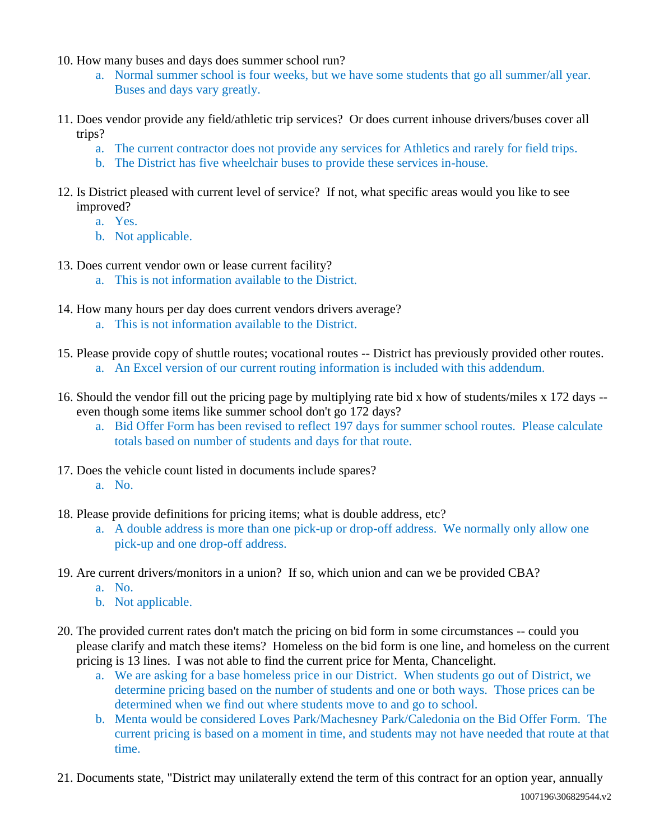- 10. How many buses and days does summer school run?
	- a. Normal summer school is four weeks, but we have some students that go all summer/all year. Buses and days vary greatly.
- 11. Does vendor provide any field/athletic trip services? Or does current inhouse drivers/buses cover all trips?
	- a. The current contractor does not provide any services for Athletics and rarely for field trips.
	- b. The District has five wheelchair buses to provide these services in-house.
- 12. Is District pleased with current level of service? If not, what specific areas would you like to see improved?
	- a. Yes.
	- b. Not applicable.
- 13. Does current vendor own or lease current facility?
	- a. This is not information available to the District.
- 14. How many hours per day does current vendors drivers average?
	- a. This is not information available to the District.
- 15. Please provide copy of shuttle routes; vocational routes -- District has previously provided other routes. a. An Excel version of our current routing information is included with this addendum.
- 16. Should the vendor fill out the pricing page by multiplying rate bid x how of students/miles x 172 days even though some items like summer school don't go 172 days?
	- a. Bid Offer Form has been revised to reflect 197 days for summer school routes. Please calculate totals based on number of students and days for that route.
- 17. Does the vehicle count listed in documents include spares?
	- a. No.
- 18. Please provide definitions for pricing items; what is double address, etc?
	- a. A double address is more than one pick-up or drop-off address. We normally only allow one pick-up and one drop-off address.
- 19. Are current drivers/monitors in a union? If so, which union and can we be provided CBA?
	- a. No.
	- b. Not applicable.
- 20. The provided current rates don't match the pricing on bid form in some circumstances -- could you please clarify and match these items? Homeless on the bid form is one line, and homeless on the current pricing is 13 lines. I was not able to find the current price for Menta, Chancelight.
	- a. We are asking for a base homeless price in our District. When students go out of District, we determine pricing based on the number of students and one or both ways. Those prices can be determined when we find out where students move to and go to school.
	- b. Menta would be considered Loves Park/Machesney Park/Caledonia on the Bid Offer Form. The current pricing is based on a moment in time, and students may not have needed that route at that time.
- 21. Documents state, "District may unilaterally extend the term of this contract for an option year, annually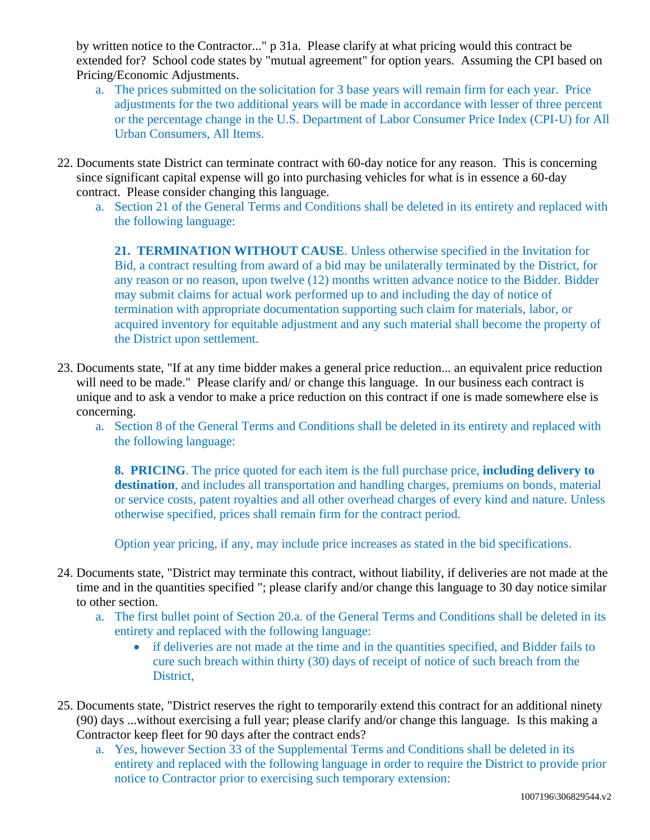by written notice to the Contractor..." p 31a. Please clarify at what pricing would this contract be extended for? School code states by "mutual agreement" for option years. Assuming the CPI based on Pricing/Economic Adjustments.

- a. The prices submitted on the solicitation for 3 base years will remain firm for each year. Price adjustments for the two additional years will be made in accordance with lesser of three percent or the percentage change in the U.S. Department of Labor Consumer Price Index (CPI-U) for All Urban Consumers, All Items.
- 22. Documents state District can terminate contract with 60-day notice for any reason. This is concerning since significant capital expense will go into purchasing vehicles for what is in essence a 60-day contract. Please consider changing this language.
	- a. Section 21 of the General Terms and Conditions shall be deleted in its entirety and replaced with the following language:

**21. TERMINATION WITHOUT CAUSE**. Unless otherwise specified in the Invitation for Bid, a contract resulting from award of a bid may be unilaterally terminated by the District, for any reason or no reason, upon twelve (12) months written advance notice to the Bidder. Bidder may submit claims for actual work performed up to and including the day of notice of termination with appropriate documentation supporting such claim for materials, labor, or acquired inventory for equitable adjustment and any such material shall become the property of the District upon settlement.

- 23. Documents state, "If at any time bidder makes a general price reduction... an equivalent price reduction will need to be made." Please clarify and/ or change this language. In our business each contract is unique and to ask a vendor to make a price reduction on this contract if one is made somewhere else is concerning.
	- a. Section 8 of the General Terms and Conditions shall be deleted in its entirety and replaced with the following language:

**8. PRICING**. The price quoted for each item is the full purchase price, **including delivery to destination**, and includes all transportation and handling charges, premiums on bonds, material or service costs, patent royalties and all other overhead charges of every kind and nature. Unless otherwise specified, prices shall remain firm for the contract period.

Option year pricing, if any, may include price increases as stated in the bid specifications.

- 24. Documents state, "District may terminate this contract, without liability, if deliveries are not made at the time and in the quantities specified "; please clarify and/or change this language to 30 day notice similar to other section.
	- a. The first bullet point of Section 20.a. of the General Terms and Conditions shall be deleted in its entirety and replaced with the following language:
		- if deliveries are not made at the time and in the quantities specified, and Bidder fails to cure such breach within thirty (30) days of receipt of notice of such breach from the District,
- 25. Documents state, "District reserves the right to temporarily extend this contract for an additional ninety (90) days ...without exercising a full year; please clarify and/or change this language. Is this making a Contractor keep fleet for 90 days after the contract ends?
	- a. Yes, however Section 33 of the Supplemental Terms and Conditions shall be deleted in its entirety and replaced with the following language in order to require the District to provide prior notice to Contractor prior to exercising such temporary extension: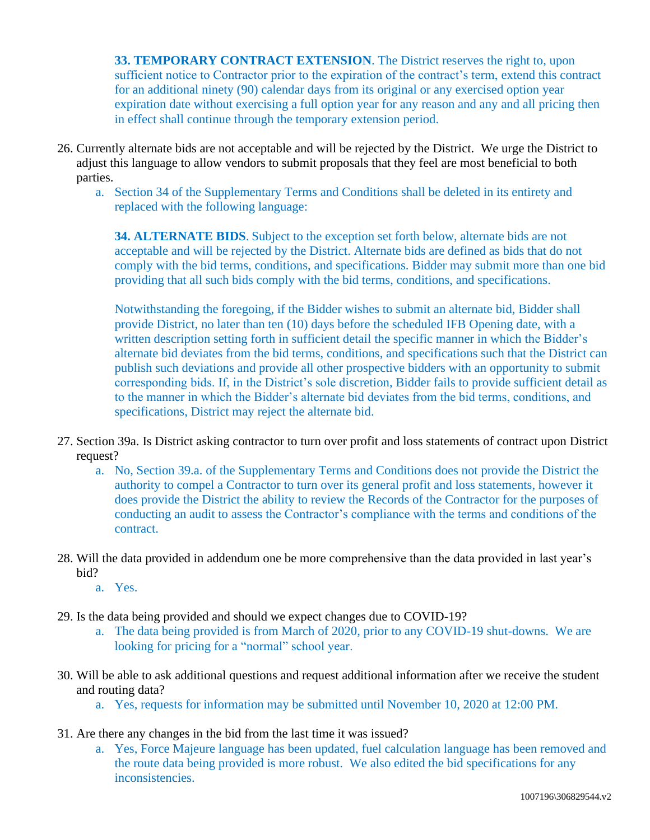**33. TEMPORARY CONTRACT EXTENSION**. The District reserves the right to, upon sufficient notice to Contractor prior to the expiration of the contract's term, extend this contract for an additional ninety (90) calendar days from its original or any exercised option year expiration date without exercising a full option year for any reason and any and all pricing then in effect shall continue through the temporary extension period.

- 26. Currently alternate bids are not acceptable and will be rejected by the District. We urge the District to adjust this language to allow vendors to submit proposals that they feel are most beneficial to both parties.
	- a. Section 34 of the Supplementary Terms and Conditions shall be deleted in its entirety and replaced with the following language:

**34. ALTERNATE BIDS**. Subject to the exception set forth below, alternate bids are not acceptable and will be rejected by the District. Alternate bids are defined as bids that do not comply with the bid terms, conditions, and specifications. Bidder may submit more than one bid providing that all such bids comply with the bid terms, conditions, and specifications.

Notwithstanding the foregoing, if the Bidder wishes to submit an alternate bid, Bidder shall provide District, no later than ten (10) days before the scheduled IFB Opening date, with a written description setting forth in sufficient detail the specific manner in which the Bidder's alternate bid deviates from the bid terms, conditions, and specifications such that the District can publish such deviations and provide all other prospective bidders with an opportunity to submit corresponding bids. If, in the District's sole discretion, Bidder fails to provide sufficient detail as to the manner in which the Bidder's alternate bid deviates from the bid terms, conditions, and specifications, District may reject the alternate bid.

- 27. Section 39a. Is District asking contractor to turn over profit and loss statements of contract upon District request?
	- a. No, Section 39.a. of the Supplementary Terms and Conditions does not provide the District the authority to compel a Contractor to turn over its general profit and loss statements, however it does provide the District the ability to review the Records of the Contractor for the purposes of conducting an audit to assess the Contractor's compliance with the terms and conditions of the contract.
- 28. Will the data provided in addendum one be more comprehensive than the data provided in last year's bid?
	- a. Yes.
- 29. Is the data being provided and should we expect changes due to COVID-19?
	- a. The data being provided is from March of 2020, prior to any COVID-19 shut-downs. We are looking for pricing for a "normal" school year.
- 30. Will be able to ask additional questions and request additional information after we receive the student and routing data?
	- a. Yes, requests for information may be submitted until November 10, 2020 at 12:00 PM.
- 31. Are there any changes in the bid from the last time it was issued?
	- a. Yes, Force Majeure language has been updated, fuel calculation language has been removed and the route data being provided is more robust. We also edited the bid specifications for any inconsistencies.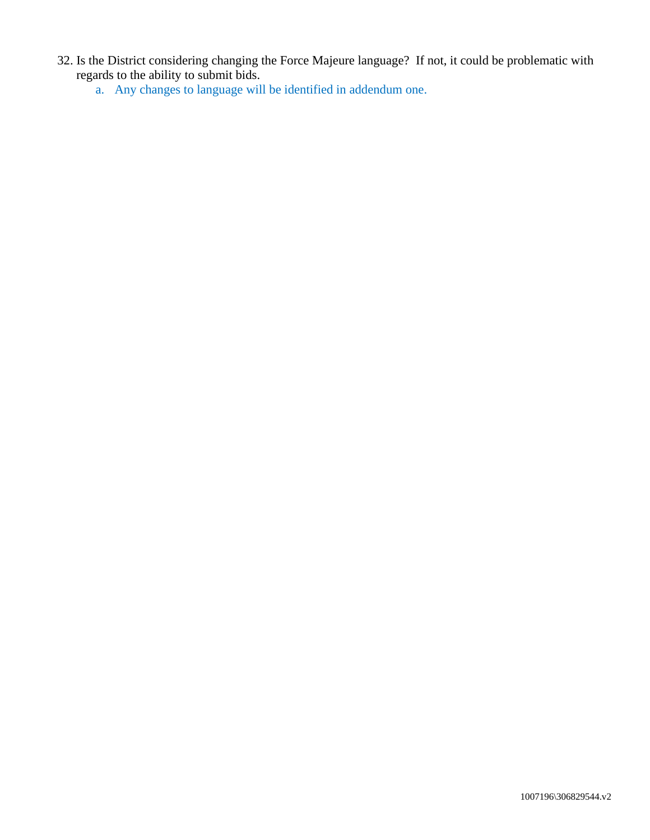- 32. Is the District considering changing the Force Majeure language? If not, it could be problematic with regards to the ability to submit bids.
	- a. Any changes to language will be identified in addendum one.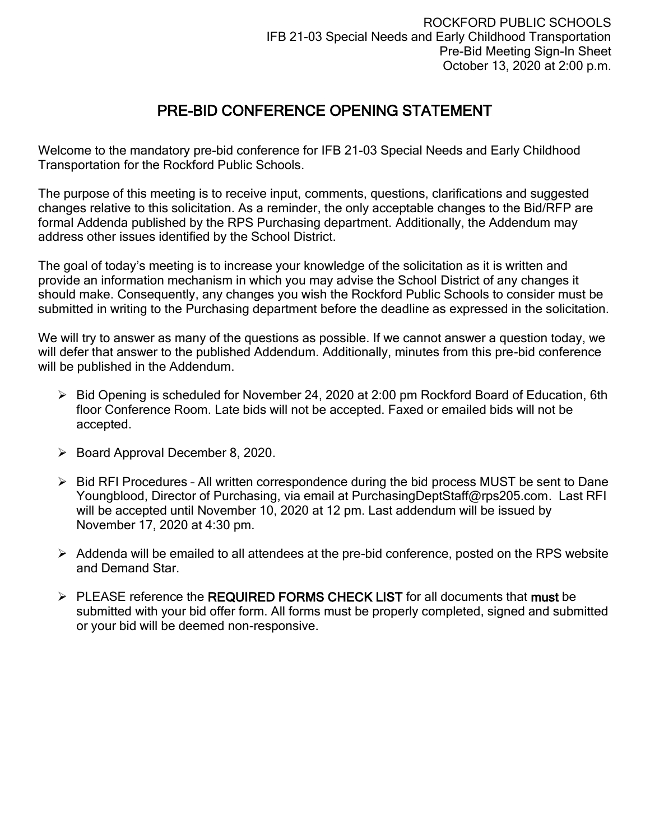# PRE-BID CONFERENCE OPENING STATEMENT

Welcome to the mandatory pre-bid conference for IFB 21-03 Special Needs and Early Childhood Transportation for the Rockford Public Schools.

The purpose of this meeting is to receive input, comments, questions, clarifications and suggested changes relative to this solicitation. As a reminder, the only acceptable changes to the Bid/RFP are formal Addenda published by the RPS Purchasing department. Additionally, the Addendum may address other issues identified by the School District.

The goal of today's meeting is to increase your knowledge of the solicitation as it is written and provide an information mechanism in which you may advise the School District of any changes it should make. Consequently, any changes you wish the Rockford Public Schools to consider must be submitted in writing to the Purchasing department before the deadline as expressed in the solicitation.

We will try to answer as many of the questions as possible. If we cannot answer a question today, we will defer that answer to the published Addendum. Additionally, minutes from this pre-bid conference will be published in the Addendum.

- ➢ Bid Opening is scheduled for November 24, 2020 at 2:00 pm Rockford Board of Education, 6th floor Conference Room. Late bids will not be accepted. Faxed or emailed bids will not be accepted.
- ➢ Board Approval December 8, 2020.
- ➢ Bid RFI Procedures All written correspondence during the bid process MUST be sent to Dane Youngblood, Director of Purchasing, via email at PurchasingDeptStaff@rps205.com. Last RFI will be accepted until November 10, 2020 at 12 pm. Last addendum will be issued by November 17, 2020 at 4:30 pm.
- ➢ Addenda will be emailed to all attendees at the pre-bid conference, posted on the RPS website and Demand Star.
- $\triangleright$  PLEASE reference the REQUIRED FORMS CHECK LIST for all documents that must be submitted with your bid offer form. All forms must be properly completed, signed and submitted or your bid will be deemed non-responsive.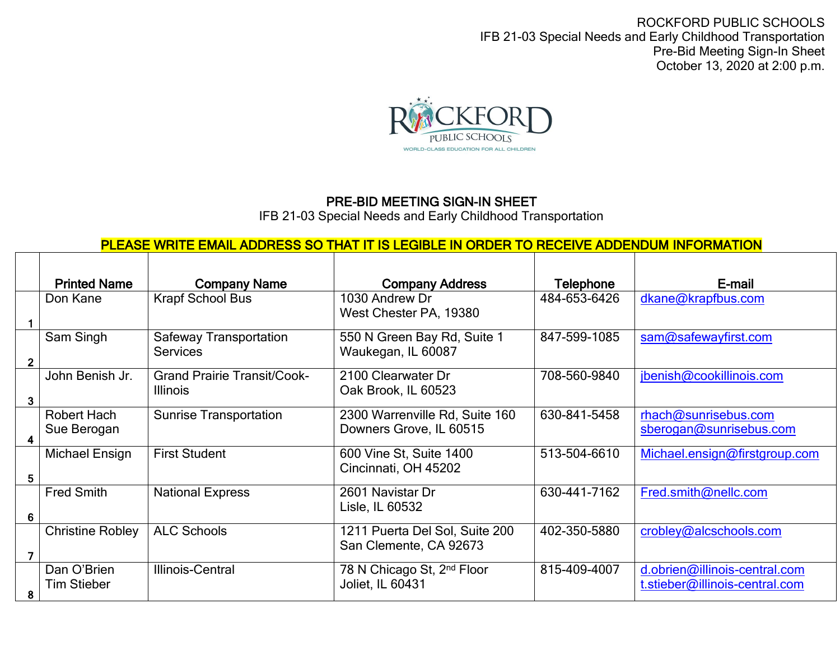ROCKFORD PUBLIC SCHOOLS IFB 21-03 Special Needs and Early Childhood Transportation Pre-Bid Meeting Sign-In Sheet October 13, 2020 at 2:00 p.m.



# PRE-BID MEETING SIGN-IN SHEET

IFB 21-03 Special Needs and Early Childhood Transportation

# PLEASE WRITE EMAIL ADDRESS SO THAT IT IS LEGIBLE IN ORDER TO RECEIVE ADDENDUM INFORMATION

|   | <b>Printed Name</b>               | <b>Company Name</b>                                   | <b>Company Address</b>                                     | <b>Telephone</b> | E-mail                                                          |
|---|-----------------------------------|-------------------------------------------------------|------------------------------------------------------------|------------------|-----------------------------------------------------------------|
|   | Don Kane                          | <b>Krapf School Bus</b>                               | 1030 Andrew Dr<br>West Chester PA, 19380                   | 484-653-6426     | dkane@krapfbus.com                                              |
|   | Sam Singh                         | <b>Safeway Transportation</b><br><b>Services</b>      | 550 N Green Bay Rd, Suite 1<br>Waukegan, IL 60087          | 847-599-1085     | sam@safewayfirst.com                                            |
| 3 | John Benish Jr.                   | <b>Grand Prairie Transit/Cook-</b><br><b>Illinois</b> | 2100 Clearwater Dr<br>Oak Brook, IL 60523                  | 708-560-9840     | jbenish@cookillinois.com                                        |
| 4 | Robert Hach<br>Sue Berogan        | <b>Sunrise Transportation</b>                         | 2300 Warrenville Rd, Suite 160<br>Downers Grove, IL 60515  | 630-841-5458     | rhach@sunrisebus.com<br>sberogan@sunrisebus.com                 |
| 5 | Michael Ensign                    | <b>First Student</b>                                  | 600 Vine St, Suite 1400<br>Cincinnati, OH 45202            | 513-504-6610     | Michael.ensign@firstgroup.com                                   |
| 6 | <b>Fred Smith</b>                 | <b>National Express</b>                               | 2601 Navistar Dr<br>Lisle, IL 60532                        | 630-441-7162     | Fred.smith@nellc.com                                            |
|   | <b>Christine Robley</b>           | <b>ALC Schools</b>                                    | 1211 Puerta Del Sol, Suite 200<br>San Clemente, CA 92673   | 402-350-5880     | crobley@alcschools.com                                          |
| 8 | Dan O'Brien<br><b>Tim Stieber</b> | Illinois-Central                                      | 78 N Chicago St, 2 <sup>nd</sup> Floor<br>Joliet, IL 60431 | 815-409-4007     | d.obrien@illinois-central.com<br>t.stieber@illinois-central.com |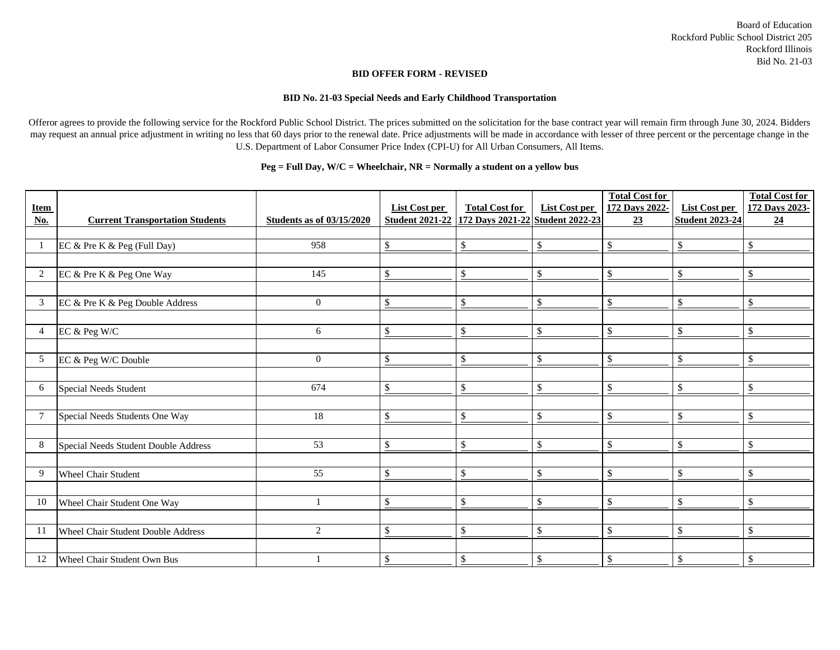#### **BID OFFER FORM - REVISED**

#### **BID No. 21-03 Special Needs and Early Childhood Transportation**

Offeror agrees to provide the following service for the Rockford Public School District. The prices submitted on the solicitation for the base contract year will remain firm through June 30, 2024. Bidders may request an annual price adjustment in writing no less that 60 days prior to the renewal date. Price adjustments will be made in accordance with lesser of three percent or the percentage change in the U.S. Department of Labor Consumer Price Index (CPI-U) for All Urban Consumers, All Items.

## **Peg = Full Day, W/C = Wheelchair, NR = Normally a student on a yellow bus**

| <b>Item</b><br>No. | <b>Current Transportation Students</b> | <b>Students as of 03/15/2020</b> | <b>List Cost per</b><br><b>Student 2021-22</b> | <b>Total Cost for</b><br>172 Days 2021-22 Student 2022-23 | <b>List Cost per</b>      | <b>Total Cost for</b><br>172 Days 2022-<br>23 | List Cost per<br><b>Student 2023-24</b> | <b>Total Cost for</b><br>172 Days 2023-<br>24 |
|--------------------|----------------------------------------|----------------------------------|------------------------------------------------|-----------------------------------------------------------|---------------------------|-----------------------------------------------|-----------------------------------------|-----------------------------------------------|
|                    |                                        |                                  |                                                |                                                           |                           |                                               |                                         |                                               |
|                    | EC & Pre K & Peg (Full Day)            | 958                              | $\$$                                           | $\$\,$                                                    | $\$\,$                    | $\$\,$                                        | \$                                      | $\$\,$                                        |
|                    |                                        |                                  |                                                |                                                           |                           |                                               |                                         |                                               |
| $\overline{2}$     | EC & Pre K & Peg One Way               | 145                              | $\$\,$                                         | $\sqrt$                                                   | $\$\,$                    | $\boldsymbol{\mathsf{S}}$                     | \$                                      | $\$\$                                         |
|                    |                                        |                                  |                                                |                                                           |                           |                                               |                                         |                                               |
| $\mathfrak{Z}$     | EC & Pre K & Peg Double Address        | $\overline{0}$                   | $\$\,$                                         | $\$\,$                                                    | $\$\,$                    | $\boldsymbol{\mathsf{S}}$                     | \$                                      | \$                                            |
|                    |                                        |                                  |                                                |                                                           |                           |                                               |                                         |                                               |
| $\overline{4}$     | EC & Peg W/C                           | 6                                | $\$\,$                                         | $\mathcal{S}$                                             | $\$\$                     | $\boldsymbol{\mathsf{S}}$                     | \$                                      | $\boldsymbol{\mathsf{S}}$                     |
|                    |                                        |                                  |                                                |                                                           |                           |                                               |                                         |                                               |
| 5                  | EC & Peg W/C Double                    | $\overline{0}$                   | $\$\,$                                         | $\$\,$                                                    | $\boldsymbol{\mathsf{S}}$ | $\$\,$                                        | \$                                      | $\$\$                                         |
|                    |                                        |                                  |                                                |                                                           |                           |                                               |                                         |                                               |
| 6                  | Special Needs Student                  | 674                              | $\$\,$                                         | $\$\,$                                                    | $\$\,$                    | $\boldsymbol{\mathsf{S}}$                     | \$                                      | $\$\,$                                        |
|                    |                                        |                                  |                                                |                                                           |                           |                                               |                                         |                                               |
| $\overline{7}$     | Special Needs Students One Way         | 18                               | $\boldsymbol{\$}$                              | $\boldsymbol{\mathsf{S}}$                                 | $\boldsymbol{\mathsf{S}}$ | $\mathcal{S}$                                 | \$                                      | $\boldsymbol{\mathsf{S}}$                     |
|                    |                                        |                                  |                                                |                                                           |                           |                                               |                                         |                                               |
| $8\,$              | Special Needs Student Double Address   | 53                               | $\$\,$                                         | $\boldsymbol{\mathsf{S}}$                                 | $\boldsymbol{\mathsf{S}}$ | $\boldsymbol{\mathsf{S}}$                     | \$                                      | $\mathcal{S}$                                 |
|                    |                                        |                                  |                                                |                                                           |                           |                                               |                                         |                                               |
| 9                  | <b>Wheel Chair Student</b>             | 55                               | $\$\,$                                         | $\$\,$                                                    | $\$\$                     | $\boldsymbol{\mathsf{S}}$                     | \$                                      | $\sqrt$                                       |
|                    |                                        |                                  |                                                |                                                           |                           |                                               |                                         |                                               |
| 10                 | Wheel Chair Student One Way            |                                  | $\$\,$                                         | $\$\,$                                                    | $\boldsymbol{\mathsf{S}}$ | $\$\,$                                        | \$                                      | \$                                            |
|                    |                                        |                                  |                                                |                                                           |                           |                                               |                                         |                                               |
| <sup>11</sup>      | Wheel Chair Student Double Address     | $\overline{2}$                   | $\$\,$                                         | $\boldsymbol{\mathsf{S}}$                                 | $\$\,$                    | $\mathcal{S}$                                 | \$                                      | $\$\$                                         |
|                    |                                        |                                  |                                                |                                                           |                           |                                               |                                         |                                               |
| 12                 | Wheel Chair Student Own Bus            |                                  | \$                                             | $\boldsymbol{\mathsf{S}}$                                 | $\$\$                     | \$                                            | \$                                      | $\boldsymbol{\mathsf{S}}$                     |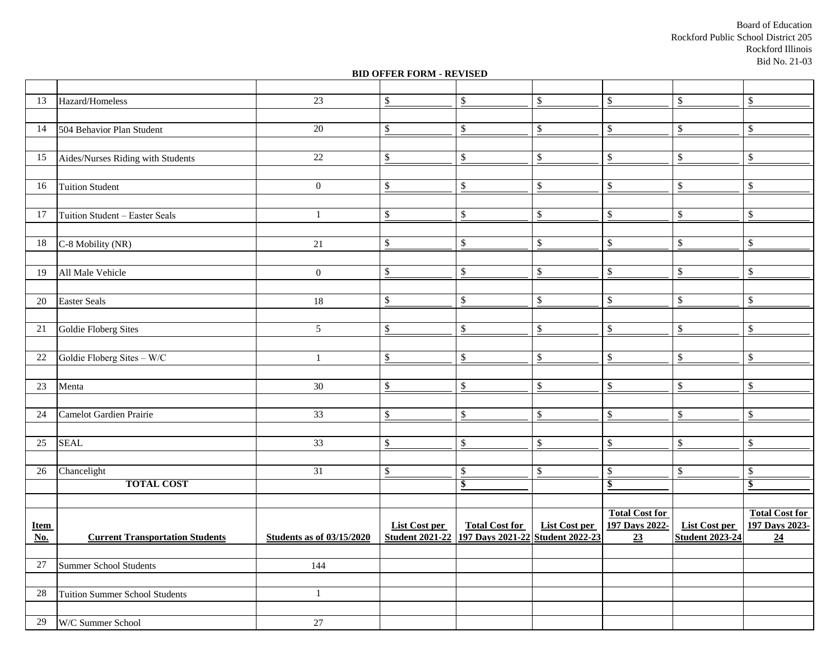Board of Education Rockford Public School District 205 Rockford Illinois Bid No. 21-03

#### **BID OFFER FORM - REVISED**

| 13                          | Hazard/Homeless                        | 23                               | $\boldsymbol{\mathsf{S}}$         | $\$\,$                           | $\boldsymbol{\mathsf{S}}$ | $\$\,$                           | $\$\,$                            | $\frac{1}{2}$                    |
|-----------------------------|----------------------------------------|----------------------------------|-----------------------------------|----------------------------------|---------------------------|----------------------------------|-----------------------------------|----------------------------------|
|                             |                                        |                                  |                                   |                                  |                           |                                  |                                   |                                  |
| 14                          | 504 Behavior Plan Student              | 20                               | $\$\$                             | $\boldsymbol{\mathsf{S}}$        | $\boldsymbol{\mathsf{S}}$ | $\boldsymbol{\mathsf{S}}$        | $\$\,$                            | $\mathcal{S}$                    |
|                             |                                        |                                  |                                   |                                  |                           |                                  |                                   |                                  |
| 15                          | Aides/Nurses Riding with Students      | 22                               | $\boldsymbol{\mathsf{S}}$         | $\boldsymbol{\mathsf{S}}$        | $\sqrt[6]{\frac{1}{2}}$   | $\mathcal{S}$                    | $\mathbb{S}$                      | $\boldsymbol{\mathsf{S}}$        |
|                             |                                        |                                  |                                   |                                  |                           |                                  |                                   |                                  |
| 16                          | <b>Tuition Student</b>                 | $\overline{0}$                   | $\frac{\mathsf{s}}{\mathsf{b}}$   | \$                               | $\$\$                     | $\$\,$                           | $\boldsymbol{\$}$                 | $\boldsymbol{\mathsf{S}}$        |
|                             |                                        |                                  |                                   |                                  |                           |                                  |                                   |                                  |
| 17                          | Tuition Student - Easter Seals         |                                  | $\frac{\mathcal{S}}{\mathcal{S}}$ | $\boldsymbol{\mathsf{S}}$        | $\sqrt[6]{\frac{1}{2}}$   | $\boldsymbol{\mathsf{S}}$        | $\frac{\mathcal{L}}{\mathcal{L}}$ | $\frac{1}{2}$                    |
|                             |                                        |                                  |                                   |                                  |                           |                                  |                                   |                                  |
| 18                          | C-8 Mobility (NR)                      | 21                               | $\sqrt$                           | $\$\,$                           | $\mathbb{S}$              | $\mathbb{S}$                     | $\mathbb{S}$                      | $\$\,$                           |
|                             |                                        |                                  |                                   |                                  |                           |                                  |                                   |                                  |
| 19                          | All Male Vehicle                       | $\overline{0}$                   | $\$\$                             | $\boldsymbol{\mathsf{S}}$        | $\boldsymbol{\mathsf{S}}$ | $\boldsymbol{\mathsf{S}}$        | $\boldsymbol{\$}$                 | $\mathcal{S}$                    |
|                             |                                        |                                  |                                   |                                  |                           |                                  |                                   |                                  |
| 20                          | Easter Seals                           | 18                               | $\boldsymbol{\mathsf{S}}$         | $\mathcal{L}$                    | $\sqrt[6]{\frac{1}{2}}$   | $\$$                             | $\mathbb{S}$                      | $\$\,$                           |
|                             |                                        |                                  |                                   |                                  |                           |                                  |                                   |                                  |
| 21                          | Goldie Floberg Sites                   | 5 <sup>5</sup>                   | $\$\,$                            | $\mathbb{S}$                     | $\sqrt[6]{\frac{1}{2}}$   | \$                               | $\$\,$                            | $\mathcal{S}$                    |
|                             |                                        |                                  |                                   |                                  |                           |                                  |                                   |                                  |
| 22                          | Goldie Floberg Sites - W/C             | $\mathbf{1}$                     | $\frac{\mathcal{S}}{\mathcal{S}}$ | $\boldsymbol{\mathsf{S}}$        | $\sqrt[6]{\frac{1}{2}}$   | $\mathbb{S}$                     | $\$$                              | $\mathcal{S}$                    |
|                             |                                        |                                  |                                   |                                  |                           |                                  |                                   |                                  |
| 23                          | Menta                                  | 30                               | $\boldsymbol{\mathsf{S}}$         | $\mathbb{S}$                     | $\$\,$                    | $\$\,$                           | $\mathbb{S}$                      | $\frac{1}{2}$                    |
|                             |                                        |                                  |                                   |                                  |                           |                                  |                                   |                                  |
| 24                          | Camelot Gardien Prairie                | 33                               | $\$\,$                            | $\$\,$                           | $\boldsymbol{\mathsf{S}}$ | $\$\,$                           | $\$\,$                            | $\mathcal{S}$                    |
|                             |                                        |                                  |                                   |                                  |                           |                                  |                                   |                                  |
| $25\,$                      | <b>SEAL</b>                            | 33                               | $\boldsymbol{\mathsf{S}}$         | \$                               | $\$\$                     | $\boldsymbol{\mathsf{S}}$        | $\$\,$                            | $\boldsymbol{\mathsf{S}}$        |
|                             |                                        |                                  |                                   |                                  |                           |                                  |                                   |                                  |
| 26                          | Chancelight                            | 31                               | $\sqrt{3}$                        | $\mathcal{S}$                    | $\mathcal{S}$             | $\mathcal{S}$                    | $\mathcal{S}$                     | $\mathcal{S}$                    |
|                             | <b>TOTAL COST</b>                      |                                  |                                   | $\overline{\boldsymbol{\theta}}$ |                           | $\overline{\boldsymbol{\theta}}$ |                                   | $\overline{\boldsymbol{\theta}}$ |
|                             |                                        |                                  |                                   |                                  |                           |                                  |                                   |                                  |
|                             |                                        |                                  |                                   |                                  |                           | <b>Total Cost for</b>            |                                   | <b>Total Cost for</b>            |
| <b>Item</b>                 |                                        |                                  | <b>List Cost per</b>              | <b>Total Cost for</b>            | <b>List Cost per</b>      | 197 Days 2022-                   | <b>List Cost per</b>              | 197 Days 2023-                   |
| $\underline{\textbf{No}}$ . | <b>Current Transportation Students</b> | <b>Students as of 03/15/2020</b> | <b>Student 2021-22</b>            | 197 Days 2021-22 Student 2022-23 |                           | $\underline{23}$                 | <b>Student 2023-24</b>            | $\underline{24}$                 |
|                             |                                        |                                  |                                   |                                  |                           |                                  |                                   |                                  |
| 27                          | Summer School Students                 | 144                              |                                   |                                  |                           |                                  |                                   |                                  |
|                             |                                        |                                  |                                   |                                  |                           |                                  |                                   |                                  |
| 28                          | Tuition Summer School Students         |                                  |                                   |                                  |                           |                                  |                                   |                                  |
|                             |                                        |                                  |                                   |                                  |                           |                                  |                                   |                                  |
| 29                          | W/C Summer School                      | 27                               |                                   |                                  |                           |                                  |                                   |                                  |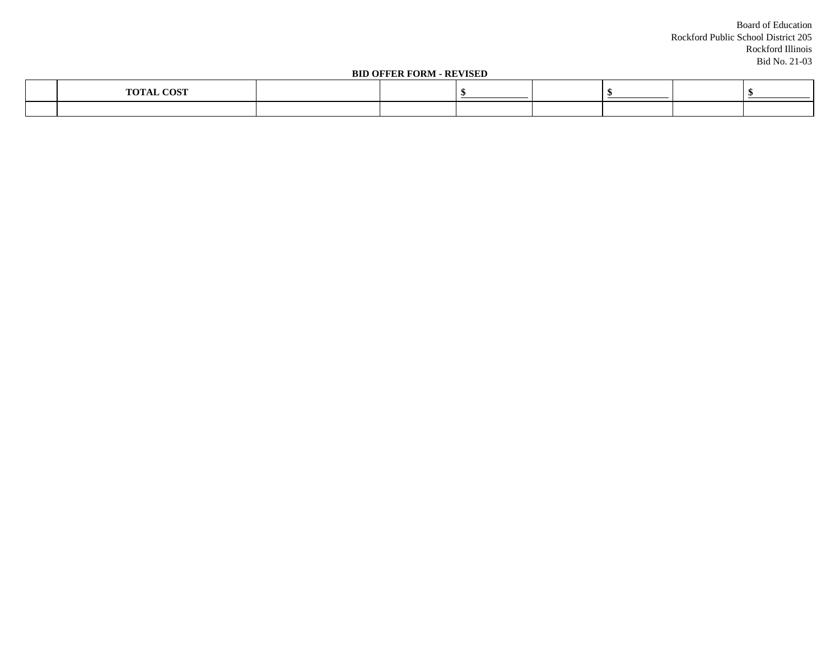Board of Education Rockford Public School District 205 Rockford Illinois Bid No. 21-03

#### **BID OFFER FORM - REVISED**

| 300<br>$\sim$ |  |  |  |  |
|---------------|--|--|--|--|
|               |  |  |  |  |